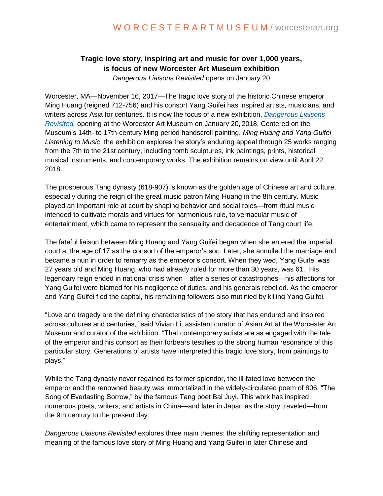## **Tragic love story, inspiring art and music for over 1,000 years, is focus of new Worcester Art Museum exhibition**

*Dangerous Liaisons Revisited* opens on January 20

Worcester, MA—November 16, 2017—The tragic love story of the historic Chinese emperor Ming Huang (reigned 712-756) and his consort Yang Guifei has inspired artists, musicians, and writers across Asia for centuries. It is now the focus of a new exhibition, *[Dangerous Liaisons](http://www.worcesterart.org/exhibitions/dangerous-liaisons-revisited/)  [Revisited,](http://www.worcesterart.org/exhibitions/dangerous-liaisons-revisited/)* opening at the Worcester Art Museum on January 20, 2018. Centered on the Museum's 14th- to 17th-century Ming period handscroll painting, *Ming Huang and Yang Guifei Listening to Music*, the exhibition explores the story's enduring appeal through 25 works ranging from the 7th to the 21st century, including tomb sculptures, ink paintings, prints, historical musical instruments, and contemporary works. The exhibition remains on view until April 22, 2018.

The prosperous Tang dynasty (618-907) is known as the golden age of Chinese art and culture, especially during the reign of the great music patron Ming Huang in the 8th century. Music played an important role at court by shaping behavior and social roles—from ritual music intended to cultivate morals and virtues for harmonious rule, to vernacular music of entertainment, which came to represent the sensuality and decadence of Tang court life.

The fateful liaison between Ming Huang and Yang Guifei began when she entered the imperial court at the age of 17 as the consort of the emperor's son. Later, she annulled the marriage and became a nun in order to remarry as the emperor's consort. When they wed, Yang Guifei was 27 years old and Ming Huang, who had already ruled for more than 30 years, was 61. His legendary reign ended in national crisis when—after a series of catastrophes—his affections for Yang Guifei were blamed for his negligence of duties, and his generals rebelled. As the emperor and Yang Guifei fled the capital, his remaining followers also mutinied by killing Yang Guifei.

"Love and tragedy are the defining characteristics of the story that has endured and inspired across cultures and centuries," said Vivian Li, assistant curator of Asian Art at the Worcester Art Museum and curator of the exhibition. "That contemporary artists are as engaged with the tale of the emperor and his consort as their forbears testifies to the strong human resonance of this particular story. Generations of artists have interpreted this tragic love story, from paintings to plays."

While the Tang dynasty never regained its former splendor, the ill-fated love between the emperor and the renowned beauty was immortalized in the widely-circulated poem of 806, "The Song of Everlasting Sorrow," by the famous Tang poet Bai Juyi. This work has inspired numerous poets, writers, and artists in China—and later in Japan as the story traveled—from the 9th century to the present day.

*Dangerous Liaisons Revisited* explores three main themes: the shifting representation and meaning of the famous love story of Ming Huang and Yang Guifei in later Chinese and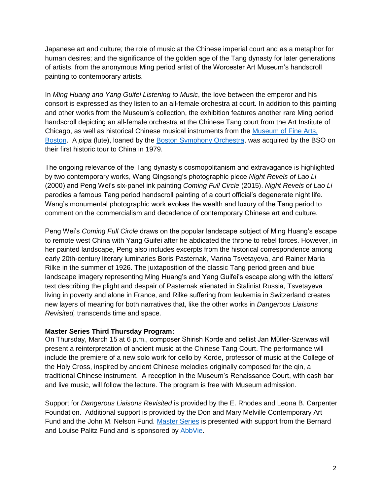Japanese art and culture; the role of music at the Chinese imperial court and as a metaphor for human desires; and the significance of the golden age of the Tang dynasty for later generations of artists, from the anonymous Ming period artist of the Worcester Art Museum's handscroll painting to contemporary artists.

In *Ming Huang and Yang Guifei Listening to Music*, the love between the emperor and his consort is expressed as they listen to an all-female orchestra at court. In addition to this painting and other works from the Museum's collection, the exhibition features another rare Ming period handscroll depicting an all-female orchestra at the Chinese Tang court from the Art Institute of Chicago, as well as historical Chinese musical instruments from the [Museum of Fine Arts,](http://www.mfa.org/)  [Boston.](http://www.mfa.org/) A *pipa* (lute), loaned by the [Boston Symphony Orchestra,](https://www.bso.org/) was acquired by the BSO on their first historic tour to China in 1979.

The ongoing relevance of the Tang dynasty's cosmopolitanism and extravagance is highlighted by two contemporary works, Wang Qingsong's photographic piece *Night Revels of Lao Li* (2000) and Peng Wei's six-panel ink painting *Coming Full Circle* (2015). *Night Revels of Lao Li* parodies a famous Tang period handscroll painting of a court official's degenerate night life. Wang's monumental photographic work evokes the wealth and luxury of the Tang period to comment on the commercialism and decadence of contemporary Chinese art and culture.

Peng Wei's *Coming Full Circle* draws on the popular landscape subject of Ming Huang's escape to remote west China with Yang Guifei after he abdicated the throne to rebel forces. However, in her painted landscape, Peng also includes excerpts from the historical correspondence among early 20th-century literary luminaries Boris Pasternak, Marina Tsvetayeva, and Rainer Maria Rilke in the summer of 1926. The juxtaposition of the classic Tang period green and blue landscape imagery representing Ming Huang's and Yang Guifei's escape along with the letters' text describing the plight and despair of Pasternak alienated in Stalinist Russia, Tsvetayeva living in poverty and alone in France, and Rilke suffering from leukemia in Switzerland creates new layers of meaning for both narratives that, like the other works in *Dangerous Liaisons Revisited,* transcends time and space.

## **Master Series Third Thursday Program:**

On Thursday, March 15 at 6 p.m., composer Shirish Korde and cellist Jan Mϋller-Szerwas will present a reinterpretation of ancient music at the Chinese Tang Court. The performance will include the premiere of a new solo work for cello by Korde, professor of music at the College of the Holy Cross, inspired by ancient Chinese melodies originally composed for the qin, a traditional Chinese instrument. A reception in the Museum's Renaissance Court, with cash bar and live music, will follow the lecture. The program is free with Museum admission.

Support for *Dangerous Liaisons Revisited* is provided by the E. Rhodes and Leona B. Carpenter Foundation. Additional support is provided by the Don and Mary Melville Contemporary Art Fund and the John M. Nelson Fund. [Master Series](http://www.worcesterart.org/events/master-series/) is presented with support from the Bernard and Louise Palitz Fund and is sponsored by [AbbVie.](https://www.abbvie.com/)